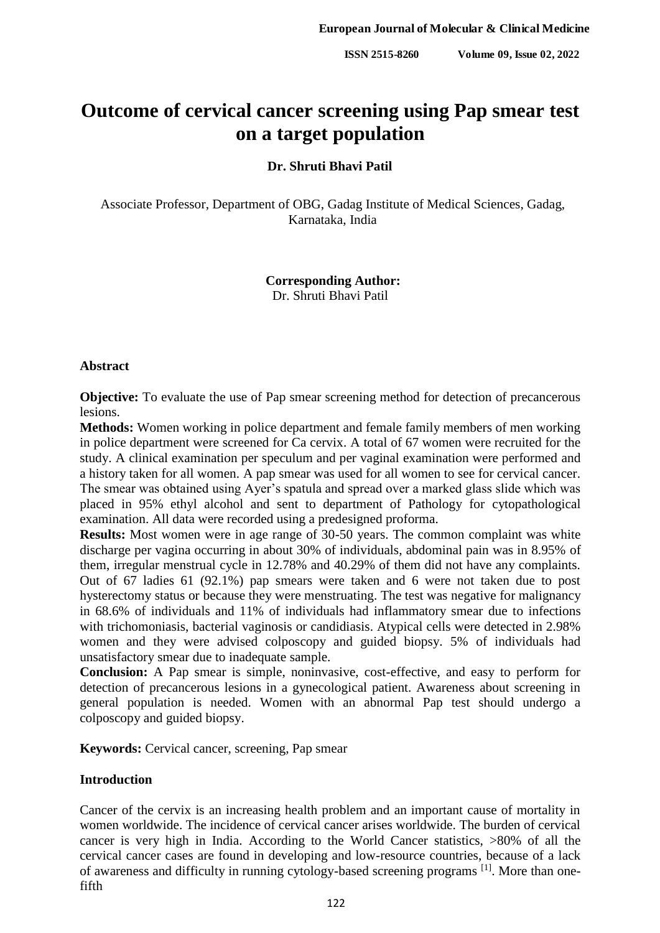# **Outcome of cervical cancer screening using Pap smear test on a target population**

## **Dr. Shruti Bhavi Patil**

Associate Professor, Department of OBG, Gadag Institute of Medical Sciences, Gadag, Karnataka, India

# **Corresponding Author:** Dr. Shruti Bhavi Patil

#### **Abstract**

**Objective:** To evaluate the use of Pap smear screening method for detection of precancerous lesions.

**Methods:** Women working in police department and female family members of men working in police department were screened for Ca cervix. A total of 67 women were recruited for the study. A clinical examination per speculum and per vaginal examination were performed and a history taken for all women. A pap smear was used for all women to see for cervical cancer. The smear was obtained using Ayer's spatula and spread over a marked glass slide which was placed in 95% ethyl alcohol and sent to department of Pathology for cytopathological examination. All data were recorded using a predesigned proforma.

**Results:** Most women were in age range of 30-50 years. The common complaint was white discharge per vagina occurring in about 30% of individuals, abdominal pain was in 8.95% of them, irregular menstrual cycle in 12.78% and 40.29% of them did not have any complaints. Out of 67 ladies 61 (92.1%) pap smears were taken and 6 were not taken due to post hysterectomy status or because they were menstruating. The test was negative for malignancy in 68.6% of individuals and 11% of individuals had inflammatory smear due to infections with trichomoniasis, bacterial vaginosis or candidiasis. Atypical cells were detected in 2.98% women and they were advised colposcopy and guided biopsy. 5% of individuals had unsatisfactory smear due to inadequate sample.

**Conclusion:** A Pap smear is simple, noninvasive, cost-effective, and easy to perform for detection of precancerous lesions in a gynecological patient. Awareness about screening in general population is needed. Women with an abnormal Pap test should undergo a colposcopy and guided biopsy.

**Keywords:** Cervical cancer, screening, Pap smear

## **Introduction**

Cancer of the cervix is an increasing health problem and an important cause of mortality in women worldwide. The incidence of cervical cancer arises worldwide. The burden of cervical cancer is very high in India. According to the World Cancer statistics, >80% of all the cervical cancer cases are found in developing and low-resource countries, because of a lack of awareness and difficulty in running cytology-based screening programs [1]. More than onefifth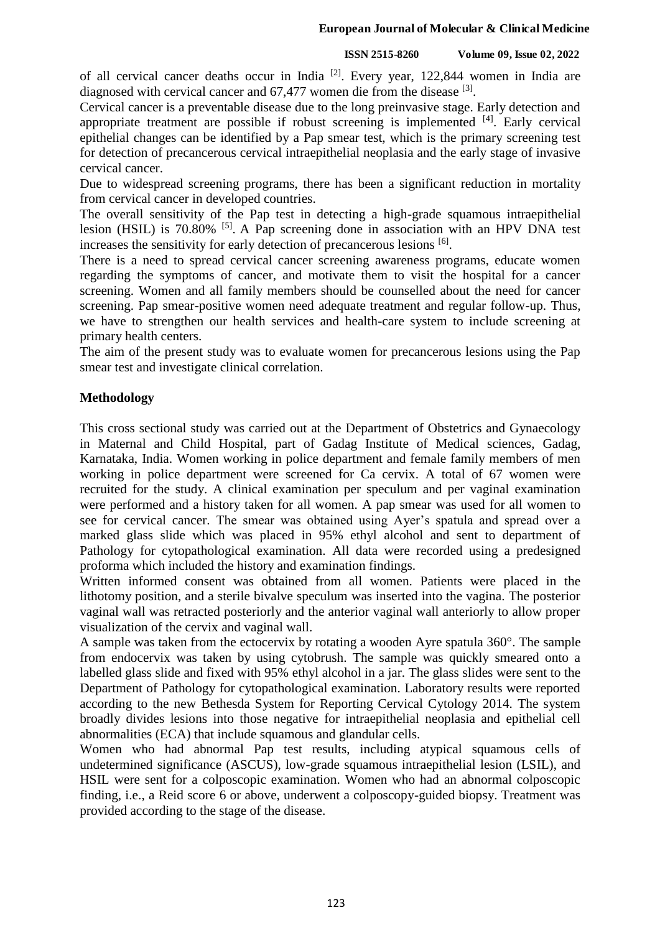#### **European Journal of Molecular & Clinical Medicine**

## **ISSN 2515-8260 Volume 09, Issue 02, 2022**

of all cervical cancer deaths occur in India <sup>[2]</sup>. Every year, 122,844 women in India are diagnosed with cervical cancer and  $67,477$  women die from the disease  $^{[3]}$ .

Cervical cancer is a preventable disease due to the long preinvasive stage. Early detection and appropriate treatment are possible if robust screening is implemented [4]. Early cervical epithelial changes can be identified by a Pap smear test, which is the primary screening test for detection of precancerous cervical intraepithelial neoplasia and the early stage of invasive cervical cancer.

Due to widespread screening programs, there has been a significant reduction in mortality from cervical cancer in developed countries.

The overall sensitivity of the Pap test in detecting a high-grade squamous intraepithelial lesion (HSIL) is 70.80% <sup>[5]</sup>. A Pap screening done in association with an HPV DNA test increases the sensitivity for early detection of precancerous lesions [6].

There is a need to spread cervical cancer screening awareness programs, educate women regarding the symptoms of cancer, and motivate them to visit the hospital for a cancer screening. Women and all family members should be counselled about the need for cancer screening. Pap smear-positive women need adequate treatment and regular follow-up. Thus, we have to strengthen our health services and health-care system to include screening at primary health centers.

The aim of the present study was to evaluate women for precancerous lesions using the Pap smear test and investigate clinical correlation.

# **Methodology**

This cross sectional study was carried out at the Department of Obstetrics and Gynaecology in Maternal and Child Hospital, part of Gadag Institute of Medical sciences, Gadag, Karnataka, India. Women working in police department and female family members of men working in police department were screened for Ca cervix. A total of 67 women were recruited for the study. A clinical examination per speculum and per vaginal examination were performed and a history taken for all women. A pap smear was used for all women to see for cervical cancer. The smear was obtained using Ayer's spatula and spread over a marked glass slide which was placed in 95% ethyl alcohol and sent to department of Pathology for cytopathological examination. All data were recorded using a predesigned proforma which included the history and examination findings.

Written informed consent was obtained from all women. Patients were placed in the lithotomy position, and a sterile bivalve speculum was inserted into the vagina. The posterior vaginal wall was retracted posteriorly and the anterior vaginal wall anteriorly to allow proper visualization of the cervix and vaginal wall.

A sample was taken from the ectocervix by rotating a wooden Ayre spatula 360°. The sample from endocervix was taken by using cytobrush. The sample was quickly smeared onto a labelled glass slide and fixed with 95% ethyl alcohol in a jar. The glass slides were sent to the Department of Pathology for cytopathological examination. Laboratory results were reported according to the new Bethesda System for Reporting Cervical Cytology 2014. The system broadly divides lesions into those negative for intraepithelial neoplasia and epithelial cell abnormalities (ECA) that include squamous and glandular cells.

Women who had abnormal Pap test results, including atypical squamous cells of undetermined significance (ASCUS), low-grade squamous intraepithelial lesion (LSIL), and HSIL were sent for a colposcopic examination. Women who had an abnormal colposcopic finding, i.e., a Reid score 6 or above, underwent a colposcopy-guided biopsy. Treatment was provided according to the stage of the disease.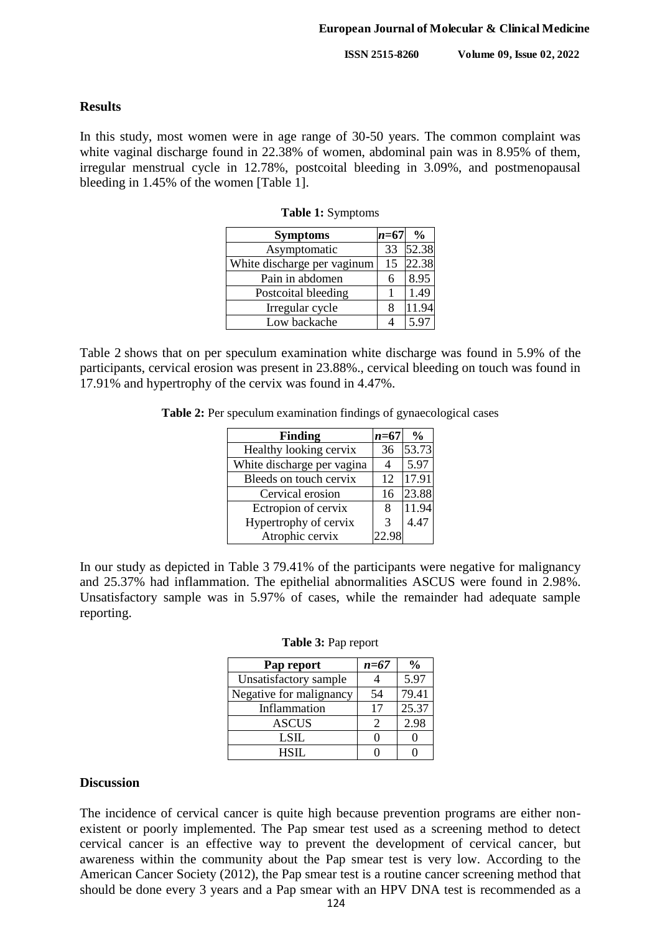**ISSN 2515-8260 Volume 09, Issue 02, 2022**

## **Results**

In this study, most women were in age range of 30-50 years. The common complaint was white vaginal discharge found in 22.38% of women, abdominal pain was in 8.95% of them, irregular menstrual cycle in 12.78%, postcoital bleeding in 3.09%, and postmenopausal bleeding in 1.45% of the women [Table 1].

| <b>Symptoms</b>             | $n = 67$ | $\frac{0}{0}$ |
|-----------------------------|----------|---------------|
| Asymptomatic                | 33       | 52.38         |
| White discharge per vaginum | 15       | 22.38         |
| Pain in abdomen             | 6        | 8.95          |
| Postcoital bleeding         |          | 1.49          |
| Irregular cycle             | 8        | 11.94         |
| Low backache                |          | 5.97          |

**Table 1:** Symptoms

Table 2 shows that on per speculum examination white discharge was found in 5.9% of the participants, cervical erosion was present in 23.88%., cervical bleeding on touch was found in 17.91% and hypertrophy of the cervix was found in 4.47%.

**Table 2:** Per speculum examination findings of gynaecological cases

| <b>Finding</b>             | $n = 67$ | $\frac{0}{0}$ |
|----------------------------|----------|---------------|
| Healthy looking cervix     | 36       | 53.73         |
| White discharge per vagina |          | 5.97          |
| Bleeds on touch cervix     | 12       | 17.91         |
| Cervical erosion           | 16       | 23.88         |
| Ectropion of cervix        | 8        | 11.94         |
| Hypertrophy of cervix      | 3        | 4.47          |
| Atrophic cervix            |          |               |

In our study as depicted in Table 3 79.41% of the participants were negative for malignancy and 25.37% had inflammation. The epithelial abnormalities ASCUS were found in 2.98%. Unsatisfactory sample was in 5.97% of cases, while the remainder had adequate sample reporting.

| Pap report              | $n = 67$ | $\frac{6}{9}$ |
|-------------------------|----------|---------------|
| Unsatisfactory sample   |          | 5.97          |
| Negative for malignancy | 54       | 79.41         |
| Inflammation            | 17       | 25.37         |
| <b>ASCUS</b>            | 2        | 2.98          |
| <b>LSIL</b>             |          |               |
| $HSH$ .                 |          |               |

#### **Table 3:** Pap report

#### **Discussion**

The incidence of cervical cancer is quite high because prevention programs are either nonexistent or poorly implemented. The Pap smear test used as a screening method to detect cervical cancer is an effective way to prevent the development of cervical cancer, but awareness within the community about the Pap smear test is very low. According to the American Cancer Society (2012), the Pap smear test is a routine cancer screening method that should be done every 3 years and a Pap smear with an HPV DNA test is recommended as a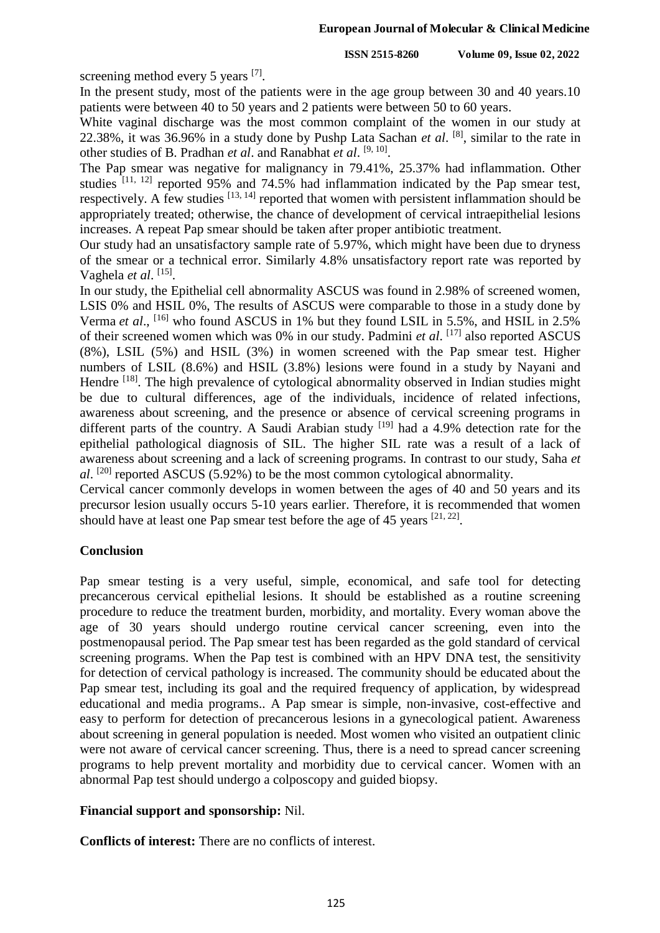screening method every 5 years [7].

In the present study, most of the patients were in the age group between 30 and 40 years.10 patients were between 40 to 50 years and 2 patients were between 50 to 60 years.

White vaginal discharge was the most common complaint of the women in our study at 22.38%, it was 36.96% in a study done by Pushp Lata Sachan *et al*. [8], similar to the rate in other studies of B. Pradhan *et al*. and Ranabhat *et al.* <sup>[9, 10]</sup>.

The Pap smear was negative for malignancy in 79.41%, 25.37% had inflammation. Other studies  $[11, 12]$  reported 95% and 74.5% had inflammation indicated by the Pap smear test, respectively. A few studies [13, 14] reported that women with persistent inflammation should be appropriately treated; otherwise, the chance of development of cervical intraepithelial lesions increases. A repeat Pap smear should be taken after proper antibiotic treatment.

Our study had an unsatisfactory sample rate of 5.97%, which might have been due to dryness of the smear or a technical error. Similarly 4.8% unsatisfactory report rate was reported by Vaghela et al. [15].

In our study, the Epithelial cell abnormality ASCUS was found in 2.98% of screened women, LSIS 0% and HSIL 0%, The results of ASCUS were comparable to those in a study done by Verma *et al.*, <sup>[16]</sup> who found ASCUS in 1% but they found LSIL in 5.5%, and HSIL in 2.5% of their screened women which was 0% in our study. Padmini *et al*. [17] also reported ASCUS (8%), LSIL (5%) and HSIL (3%) in women screened with the Pap smear test. Higher numbers of LSIL (8.6%) and HSIL (3.8%) lesions were found in a study by Nayani and Hendre <sup>[18]</sup>. The high prevalence of cytological abnormality observed in Indian studies might be due to cultural differences, age of the individuals, incidence of related infections, awareness about screening, and the presence or absence of cervical screening programs in different parts of the country. A Saudi Arabian study  $[19]$  had a 4.9% detection rate for the epithelial pathological diagnosis of SIL. The higher SIL rate was a result of a lack of awareness about screening and a lack of screening programs. In contrast to our study, Saha *et al*. [20] reported ASCUS (5.92%) to be the most common cytological abnormality.

Cervical cancer commonly develops in women between the ages of 40 and 50 years and its precursor lesion usually occurs 5-10 years earlier. Therefore, it is recommended that women should have at least one Pap smear test before the age of 45 years  $[21, 22]$ .

# **Conclusion**

Pap smear testing is a very useful, simple, economical, and safe tool for detecting precancerous cervical epithelial lesions. It should be established as a routine screening procedure to reduce the treatment burden, morbidity, and mortality. Every woman above the age of 30 years should undergo routine cervical cancer screening, even into the postmenopausal period. The Pap smear test has been regarded as the gold standard of cervical screening programs. When the Pap test is combined with an HPV DNA test, the sensitivity for detection of cervical pathology is increased. The community should be educated about the Pap smear test, including its goal and the required frequency of application, by widespread educational and media programs.. A Pap smear is simple, non-invasive, cost-effective and easy to perform for detection of precancerous lesions in a gynecological patient. Awareness about screening in general population is needed. Most women who visited an outpatient clinic were not aware of cervical cancer screening. Thus, there is a need to spread cancer screening programs to help prevent mortality and morbidity due to cervical cancer. Women with an abnormal Pap test should undergo a colposcopy and guided biopsy.

# **Financial support and sponsorship:** Nil.

**Conflicts of interest:** There are no conflicts of interest.